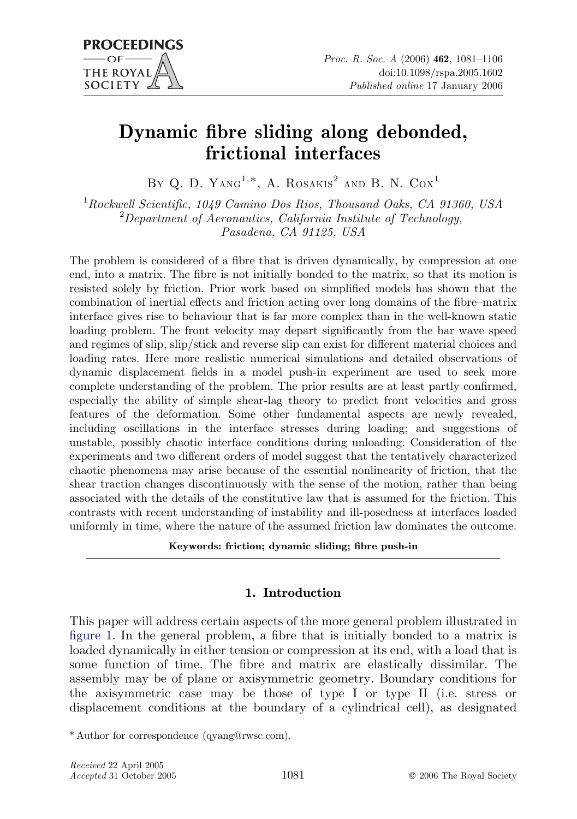# Dynamic fibre sliding along debonded, frictional interfaces

BY Q. D. YANG<sup>1,\*</sup>, A. ROSAKIS<sup>2</sup> AND B. N. COX<sup>1</sup>

1 Rockwell Scientific, 1049 Camino Dos Rios, Thousand Oaks, CA 91360, USA  ${}^{2}$ Department of Aeronautics, California Institute of Technology, Pasadena, CA 91125, USA

The problem is considered of a fibre that is driven dynamically, by compression at one end, into a matrix. The fibre is not initially bonded to the matrix, so that its motion is resisted solely by friction. Prior work based on simplified models has shown that the combination of inertial effects and friction acting over long domains of the fibre–matrix interface gives rise to behaviour that is far more complex than in the well-known static loading problem. The front velocity may depart significantly from the bar wave speed and regimes of slip, slip/stick and reverse slip can exist for different material choices and loading rates. Here more realistic numerical simulations and detailed observations of dynamic displacement fields in a model push-in experiment are used to seek more complete understanding of the problem. The prior results are at least partly confirmed, especially the ability of simple shear-lag theory to predict front velocities and gross features of the deformation. Some other fundamental aspects are newly revealed, including oscillations in the interface stresses during loading; and suggestions of unstable, possibly chaotic interface conditions during unloading. Consideration of the experiments and two different orders of model suggest that the tentatively characterized chaotic phenomena may arise because of the essential nonlinearity of friction, that the shear traction changes discontinuously with the sense of the motion, rather than being associated with the details of the constitutive law that is assumed for the friction. This contrasts with recent understanding of instability and ill-posedness at interfaces loaded uniformly in time, where the nature of the assumed friction law dominates the outcome.

Keywords: friction; dynamic sliding; fibre push-in

# 1. Introduction

This paper will address certain aspects of the more general problem illustrated in [figure 1.](#page-1-0) In the general problem, a fibre that is initially bonded to a matrix is loaded dynamically in either tension or compression at its end, with a load that is some function of time. The fibre and matrix are elastically dissimilar. The assembly may be of plane or axisymmetric geometry. Boundary conditions for the axisymmetric case may be those of type I or type II (i.e. stress or displacement conditions at the boundary of a cylindrical cell), as designated

\* Author for correspondence (qyang@rwsc.com).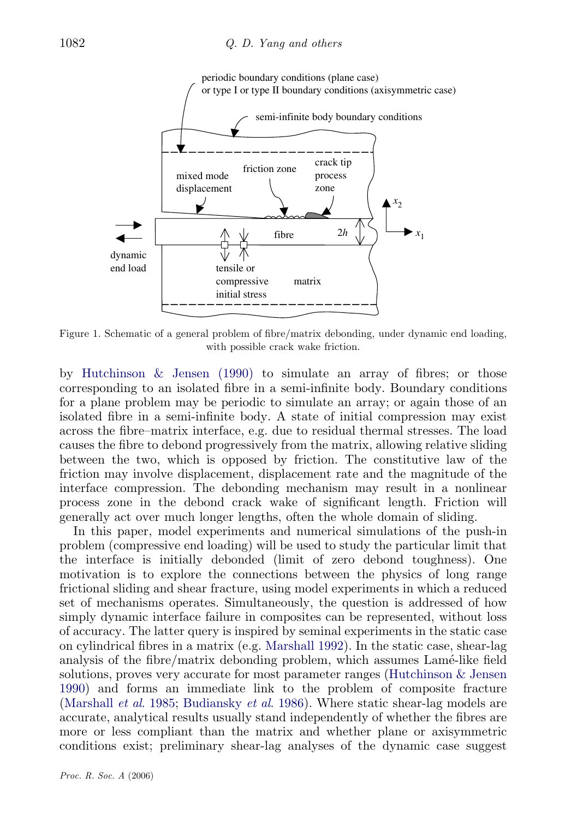<span id="page-1-0"></span>

Figure 1. Schematic of a general problem of fibre/matrix debonding, under dynamic end loading, with possible crack wake friction.

by [Hutchinson & Jensen \(1990\)](#page-24-0) to simulate an array of fibres; or those corresponding to an isolated fibre in a semi-infinite body. Boundary conditions for a plane problem may be periodic to simulate an array; or again those of an isolated fibre in a semi-infinite body. A state of initial compression may exist across the fibre–matrix interface, e.g. due to residual thermal stresses. The load causes the fibre to debond progressively from the matrix, allowing relative sliding between the two, which is opposed by friction. The constitutive law of the friction may involve displacement, displacement rate and the magnitude of the interface compression. The debonding mechanism may result in a nonlinear process zone in the debond crack wake of significant length. Friction will generally act over much longer lengths, often the whole domain of sliding.

In this paper, model experiments and numerical simulations of the push-in problem (compressive end loading) will be used to study the particular limit that the interface is initially debonded (limit of zero debond toughness). One motivation is to explore the connections between the physics of long range frictional sliding and shear fracture, using model experiments in which a reduced set of mechanisms operates. Simultaneously, the question is addressed of how simply dynamic interface failure in composites can be represented, without loss of accuracy. The latter query is inspired by seminal experiments in the static case on cylindrical fibres in a matrix (e.g. [Marshall 1992\)](#page-24-0). In the static case, shear-lag analysis of the fibre/matrix debonding problem, which assumes Lamé-like field solutions, proves very accurate for most parameter ranges [\(Hutchinson & Jensen](#page-24-0) [1990\)](#page-24-0) and forms an immediate link to the problem of composite fracture [\(Marshall](#page-24-0) et al. 1985; [Budiansky](#page-24-0) et al. 1986). Where static shear-lag models are accurate, analytical results usually stand independently of whether the fibres are more or less compliant than the matrix and whether plane or axisymmetric conditions exist; preliminary shear-lag analyses of the dynamic case suggest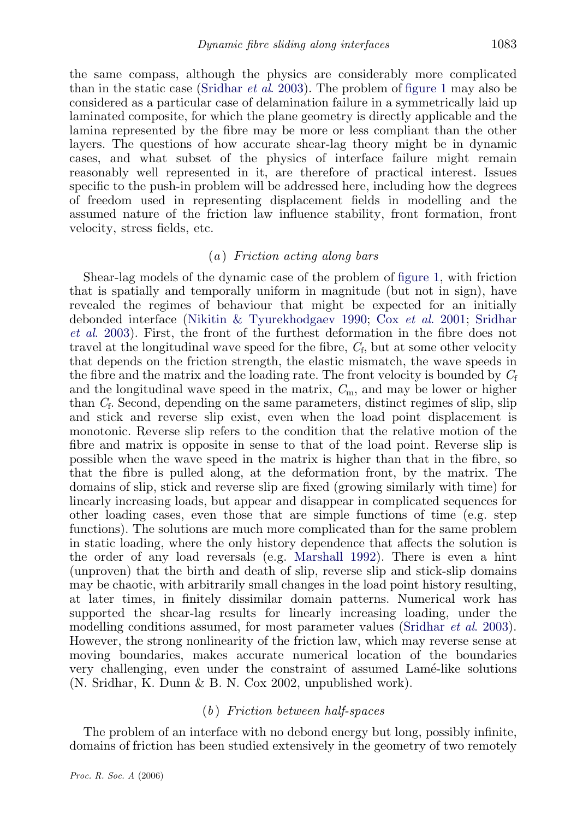the same compass, although the physics are considerably more complicated than in the static case [\(Sridhar](#page-25-0) *et al.* 2003). The problem of [figure 1](#page-1-0) may also be considered as a particular case of delamination failure in a symmetrically laid up laminated composite, for which the plane geometry is directly applicable and the lamina represented by the fibre may be more or less compliant than the other layers. The questions of how accurate shear-lag theory might be in dynamic cases, and what subset of the physics of interface failure might remain reasonably well represented in it, are therefore of practical interest. Issues specific to the push-in problem will be addressed here, including how the degrees of freedom used in representing displacement fields in modelling and the assumed nature of the friction law influence stability, front formation, front velocity, stress fields, etc.

#### $(a)$  Friction acting along bars

Shear-lag models of the dynamic case of the problem of [figure 1,](#page-1-0) with friction that is spatially and temporally uniform in magnitude (but not in sign), have revealed the regimes of behaviour that might be expected for an initially debonded interface [\(Nikitin & Tyurekhodgaev 1990;](#page-24-0) Cox et al[. 2001](#page-24-0); [Sridhar](#page-25-0) et al[. 2003\)](#page-25-0). First, the front of the furthest deformation in the fibre does not travel at the longitudinal wave speed for the fibre,  $C_f$ , but at some other velocity that depends on the friction strength, the elastic mismatch, the wave speeds in the fibre and the matrix and the loading rate. The front velocity is bounded by  $C_f$ and the longitudinal wave speed in the matrix,  $C<sub>m</sub>$ , and may be lower or higher than  $C_f$ . Second, depending on the same parameters, distinct regimes of slip, slip and stick and reverse slip exist, even when the load point displacement is monotonic. Reverse slip refers to the condition that the relative motion of the fibre and matrix is opposite in sense to that of the load point. Reverse slip is possible when the wave speed in the matrix is higher than that in the fibre, so that the fibre is pulled along, at the deformation front, by the matrix. The domains of slip, stick and reverse slip are fixed (growing similarly with time) for linearly increasing loads, but appear and disappear in complicated sequences for other loading cases, even those that are simple functions of time (e.g. step functions). The solutions are much more complicated than for the same problem in static loading, where the only history dependence that affects the solution is the order of any load reversals (e.g. [Marshall 1992](#page-24-0)). There is even a hint (unproven) that the birth and death of slip, reverse slip and stick-slip domains may be chaotic, with arbitrarily small changes in the load point history resulting, at later times, in finitely dissimilar domain patterns. Numerical work has supported the shear-lag results for linearly increasing loading, under the modelling conditions assumed, for most parameter values [\(Sridhar](#page-25-0) et al. 2003). However, the strong nonlinearity of the friction law, which may reverse sense at moving boundaries, makes accurate numerical location of the boundaries very challenging, even under the constraint of assumed Lame-like solutions (N. Sridhar, K. Dunn & B. N. Cox 2002, unpublished work).

#### (b ) Friction between half-spaces

The problem of an interface with no debond energy but long, possibly infinite, domains of friction has been studied extensively in the geometry of two remotely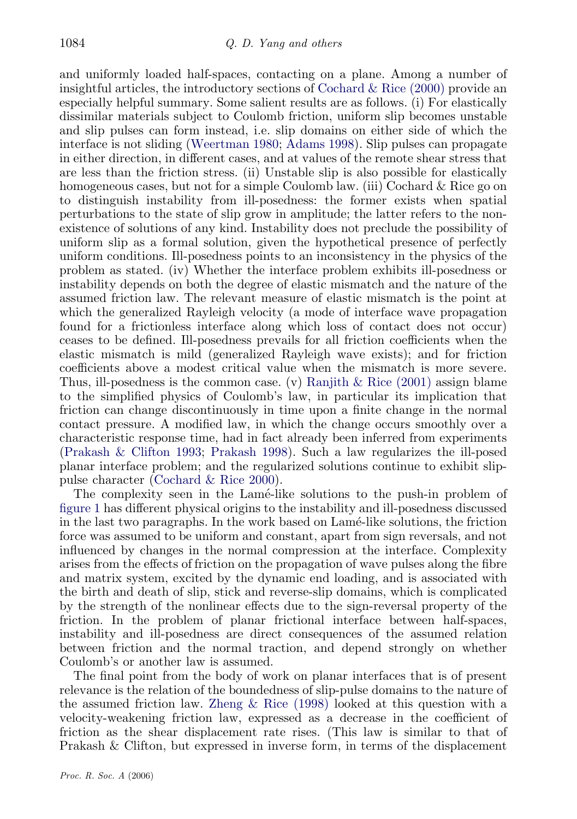and uniformly loaded half-spaces, contacting on a plane. Among a number of insightful articles, the introductory sections of Cochard  $\&$  Rice (2000) provide an especially helpful summary. Some salient results are as follows. (i) For elastically dissimilar materials subject to Coulomb friction, uniform slip becomes unstable and slip pulses can form instead, i.e. slip domains on either side of which the interface is not sliding [\(Weertman 1980](#page-25-0); [Adams 1998\)](#page-24-0). Slip pulses can propagate in either direction, in different cases, and at values of the remote shear stress that are less than the friction stress. (ii) Unstable slip is also possible for elastically homogeneous cases, but not for a simple Coulomb law. (iii) Cochard & Rice go on to distinguish instability from ill-posedness: the former exists when spatial perturbations to the state of slip grow in amplitude; the latter refers to the nonexistence of solutions of any kind. Instability does not preclude the possibility of uniform slip as a formal solution, given the hypothetical presence of perfectly uniform conditions. Ill-posedness points to an inconsistency in the physics of the problem as stated. (iv) Whether the interface problem exhibits ill-posedness or instability depends on both the degree of elastic mismatch and the nature of the assumed friction law. The relevant measure of elastic mismatch is the point at which the generalized Rayleigh velocity (a mode of interface wave propagation found for a frictionless interface along which loss of contact does not occur) ceases to be defined. Ill-posedness prevails for all friction coefficients when the elastic mismatch is mild (generalized Rayleigh wave exists); and for friction coefficients above a modest critical value when the mismatch is more severe. Thus, ill-posedness is the common case. (v) Ranjith  $\&$  Rice (2001) assign blame to the simplified physics of Coulomb's law, in particular its implication that friction can change discontinuously in time upon a finite change in the normal contact pressure. A modified law, in which the change occurs smoothly over a characteristic response time, had in fact already been inferred from experiments [\(Prakash & Clifton 1993](#page-25-0); [Prakash 1998\)](#page-24-0). Such a law regularizes the ill-posed planar interface problem; and the regularized solutions continue to exhibit slippulse character ([Cochard & Rice 2000\)](#page-24-0).

The complexity seen in the Lame-like solutions to the push-in problem of [figure 1](#page-1-0) has different physical origins to the instability and ill-posedness discussed in the last two paragraphs. In the work based on Lamé-like solutions, the friction force was assumed to be uniform and constant, apart from sign reversals, and not influenced by changes in the normal compression at the interface. Complexity arises from the effects of friction on the propagation of wave pulses along the fibre and matrix system, excited by the dynamic end loading, and is associated with the birth and death of slip, stick and reverse-slip domains, which is complicated by the strength of the nonlinear effects due to the sign-reversal property of the friction. In the problem of planar frictional interface between half-spaces, instability and ill-posedness are direct consequences of the assumed relation between friction and the normal traction, and depend strongly on whether Coulomb's or another law is assumed.

The final point from the body of work on planar interfaces that is of present relevance is the relation of the boundedness of slip-pulse domains to the nature of the assumed friction law. [Zheng & Rice \(1998\)](#page-25-0) looked at this question with a velocity-weakening friction law, expressed as a decrease in the coefficient of friction as the shear displacement rate rises. (This law is similar to that of Prakash & Clifton, but expressed in inverse form, in terms of the displacement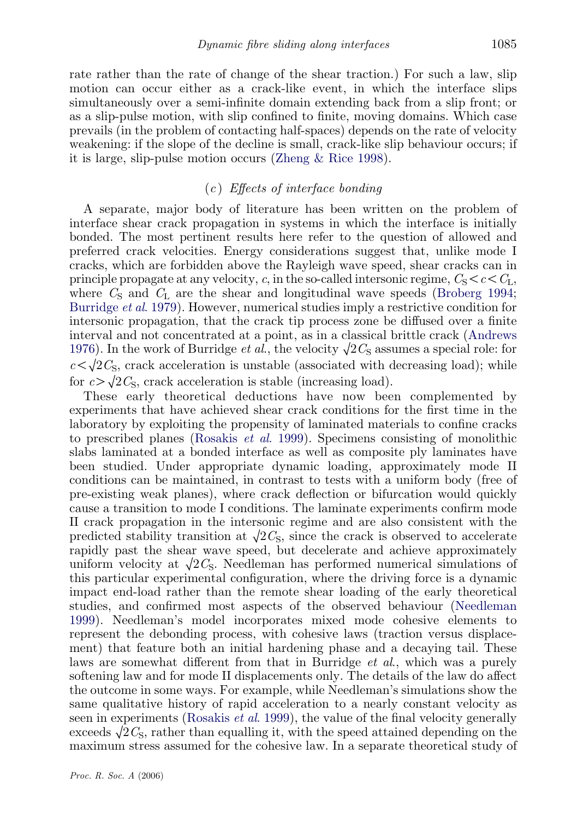rate rather than the rate of change of the shear traction.) For such a law, slip motion can occur either as a crack-like event, in which the interface slips simultaneously over a semi-infinite domain extending back from a slip front; or as a slip-pulse motion, with slip confined to finite, moving domains. Which case prevails (in the problem of contacting half-spaces) depends on the rate of velocity weakening: if the slope of the decline is small, crack-like slip behaviour occurs; if it is large, slip-pulse motion occurs ([Zheng & Rice 1998\)](#page-25-0).

## $(c)$  Effects of interface bonding

A separate, major body of literature has been written on the problem of interface shear crack propagation in systems in which the interface is initially bonded. The most pertinent results here refer to the question of allowed and preferred crack velocities. Energy considerations suggest that, unlike mode I cracks, which are forbidden above the Rayleigh wave speed, shear cracks can in principle propagate at any velocity, c, in the so-called intersonic regime,  $C_S \lt c \lt C_L$ , where  $C<sub>S</sub>$  and  $C<sub>L</sub>$  are the shear and longitudinal wave speeds ([Broberg 1994;](#page-24-0) [Burridge](#page-24-0) et al. 1979). However, numerical studies imply a restrictive condition for intersonic propagation, that the crack tip process zone be diffused over a finite interval and not concentrated at a point, as in a classical brittle crack [\(Andrews](#page-24-0) [1976](#page-24-0)). In the work of Burridge *et al.*, the velocity  $\sqrt{2}C_S$  assumes a special role: for  $c < \sqrt{2}C_{\rm S}$ , crack acceleration is unstable (associated with decreasing load); while for  $c > \sqrt{2}C_{\rm S}$ , crack acceleration is stable (increasing load).

These early theoretical deductions have now been complemented by experiments that have achieved shear crack conditions for the first time in the laboratory by exploiting the propensity of laminated materials to confine cracks to prescribed planes ([Rosakis](#page-25-0) et al. 1999). Specimens consisting of monolithic slabs laminated at a bonded interface as well as composite ply laminates have been studied. Under appropriate dynamic loading, approximately mode II conditions can be maintained, in contrast to tests with a uniform body (free of pre-existing weak planes), where crack deflection or bifurcation would quickly cause a transition to mode I conditions. The laminate experiments confirm mode II crack propagation in the intersonic regime and are also consistent with the predicted stability transition at  $\sqrt{2}C_{\rm S}$ , since the crack is observed to accelerate rapidly past the shear wave speed, but decelerate and achieve approximately uniform velocity at  $\sqrt{2}C_s$ . Needleman has performed numerical simulations of this particular experimental configuration, where the driving force is a dynamic impact end-load rather than the remote shear loading of the early theoretical studies, and confirmed most aspects of the observed behaviour [\(Needleman](#page-24-0) [1999](#page-24-0)). Needleman's model incorporates mixed mode cohesive elements to represent the debonding process, with cohesive laws (traction versus displacement) that feature both an initial hardening phase and a decaying tail. These laws are somewhat different from that in Burridge et al., which was a purely softening law and for mode II displacements only. The details of the law do affect the outcome in some ways. For example, while Needleman's simulations show the same qualitative history of rapid acceleration to a nearly constant velocity as seen in experiments ([Rosakis](#page-25-0) et al. 1999), the value of the final velocity generally exceeds  $\sqrt{2}C_{\rm S}$ , rather than equalling it, with the speed attained depending on the maximum stress assumed for the cohesive law. In a separate theoretical study of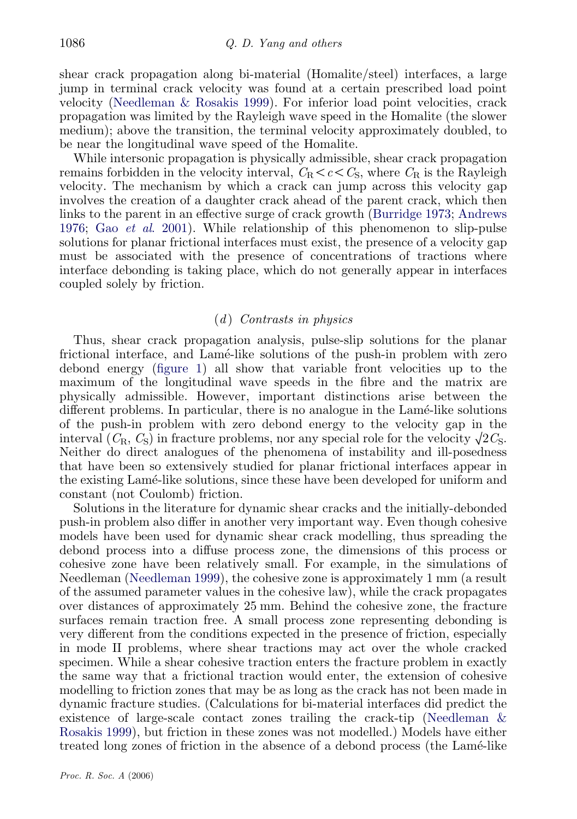shear crack propagation along bi-material (Homalite/steel) interfaces, a large jump in terminal crack velocity was found at a certain prescribed load point velocity ([Needleman & Rosakis 1999](#page-24-0)). For inferior load point velocities, crack propagation was limited by the Rayleigh wave speed in the Homalite (the slower medium); above the transition, the terminal velocity approximately doubled, to be near the longitudinal wave speed of the Homalite.

While intersonic propagation is physically admissible, shear crack propagation remains forbidden in the velocity interval,  $C_R < c < C_S$ , where  $C_R$  is the Rayleigh velocity. The mechanism by which a crack can jump across this velocity gap involves the creation of a daughter crack ahead of the parent crack, which then links to the parent in an effective surge of crack growth ([Burridge 1973;](#page-24-0) [Andrews](#page-24-0) [1976;](#page-24-0) Gao et al[. 2001](#page-24-0)). While relationship of this phenomenon to slip-pulse solutions for planar frictional interfaces must exist, the presence of a velocity gap must be associated with the presence of concentrations of tractions where interface debonding is taking place, which do not generally appear in interfaces coupled solely by friction.

#### $(d)$  Contrasts in physics

Thus, shear crack propagation analysis, pulse-slip solutions for the planar frictional interface, and Lame-like solutions of the push-in problem with zero debond energy [\(figure 1\)](#page-1-0) all show that variable front velocities up to the maximum of the longitudinal wave speeds in the fibre and the matrix are physically admissible. However, important distinctions arise between the different problems. In particular, there is no analogue in the Lame-like solutions of the push-in problem with zero debond energy to the velocity gap in the interval  $(C_R, C_S)$  in fracture problems, nor any special role for the velocity  $\sqrt{2C_S}$ . Neither do direct analogues of the phenomena of instability and ill-posedness that have been so extensively studied for planar frictional interfaces appear in the existing Lame´-like solutions, since these have been developed for uniform and constant (not Coulomb) friction.

Solutions in the literature for dynamic shear cracks and the initially-debonded push-in problem also differ in another very important way. Even though cohesive models have been used for dynamic shear crack modelling, thus spreading the debond process into a diffuse process zone, the dimensions of this process or cohesive zone have been relatively small. For example, in the simulations of Needleman ([Needleman 1999\)](#page-24-0), the cohesive zone is approximately 1 mm (a result of the assumed parameter values in the cohesive law), while the crack propagates over distances of approximately 25 mm. Behind the cohesive zone, the fracture surfaces remain traction free. A small process zone representing debonding is very different from the conditions expected in the presence of friction, especially in mode II problems, where shear tractions may act over the whole cracked specimen. While a shear cohesive traction enters the fracture problem in exactly the same way that a frictional traction would enter, the extension of cohesive modelling to friction zones that may be as long as the crack has not been made in dynamic fracture studies. (Calculations for bi-material interfaces did predict the existence of large-scale contact zones trailing the crack-tip [\(Needleman &](#page-24-0) [Rosakis 1999\)](#page-24-0), but friction in these zones was not modelled.) Models have either treated long zones of friction in the absence of a debond process (the Lame-like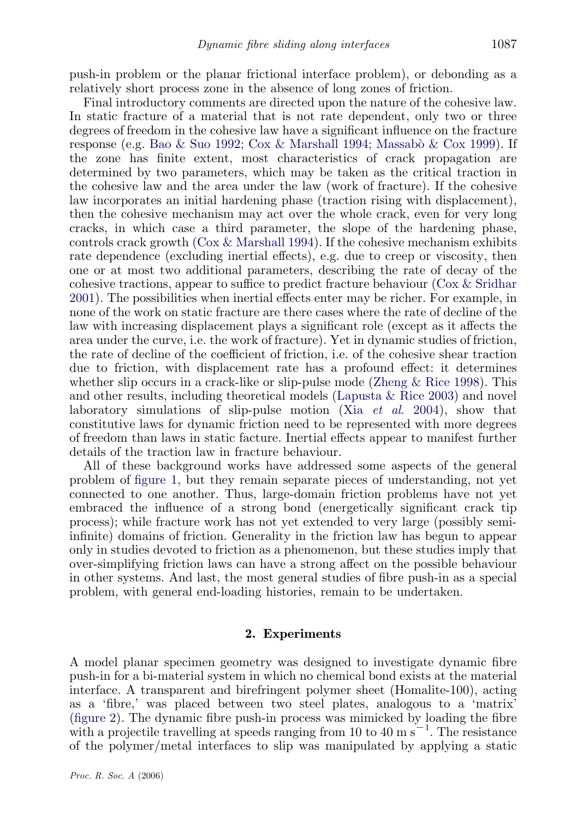push-in problem or the planar frictional interface problem), or debonding as a relatively short process zone in the absence of long zones of friction.

Final introductory comments are directed upon the nature of the cohesive law. In static fracture of a material that is not rate dependent, only two or three degrees of freedom in the cohesive law have a significant influence on the fracture response (e.g. [Bao & Suo 1992;](#page-24-0) [Cox & Marshall 1994;](#page-24-0) Massabò [& Cox 1999\)](#page-24-0). If the zone has finite extent, most characteristics of crack propagation are determined by two parameters, which may be taken as the critical traction in the cohesive law and the area under the law (work of fracture). If the cohesive law incorporates an initial hardening phase (traction rising with displacement), then the cohesive mechanism may act over the whole crack, even for very long cracks, in which case a third parameter, the slope of the hardening phase, controls crack growth ( $\cos \&$  Marshall 1994). If the cohesive mechanism exhibits rate dependence (excluding inertial effects), e.g. due to creep or viscosity, then one or at most two additional parameters, describing the rate of decay of the cohesive tractions, appear to suffice to predict fracture behaviour [\(Cox & Sridhar](#page-24-0) [2001](#page-24-0)). The possibilities when inertial effects enter may be richer. For example, in none of the work on static fracture are there cases where the rate of decline of the law with increasing displacement plays a significant role (except as it affects the area under the curve, i.e. the work of fracture). Yet in dynamic studies of friction, the rate of decline of the coefficient of friction, i.e. of the cohesive shear traction due to friction, with displacement rate has a profound effect: it determines whether slip occurs in a crack-like or slip-pulse mode [\(Zheng & Rice 1998\)](#page-25-0). This and other results, including theoretical models [\(Lapusta & Rice 2003](#page-24-0)) and novel laboratory simulations of slip-pulse motion (Xia et al[. 2004](#page-25-0)), show that constitutive laws for dynamic friction need to be represented with more degrees of freedom than laws in static facture. Inertial effects appear to manifest further details of the traction law in fracture behaviour.

All of these background works have addressed some aspects of the general problem of [figure 1,](#page-1-0) but they remain separate pieces of understanding, not yet connected to one another. Thus, large-domain friction problems have not yet embraced the influence of a strong bond (energetically significant crack tip process); while fracture work has not yet extended to very large (possibly semiinfinite) domains of friction. Generality in the friction law has begun to appear only in studies devoted to friction as a phenomenon, but these studies imply that over-simplifying friction laws can have a strong affect on the possible behaviour in other systems. And last, the most general studies of fibre push-in as a special problem, with general end-loading histories, remain to be undertaken.

#### 2. Experiments

A model planar specimen geometry was designed to investigate dynamic fibre push-in for a bi-material system in which no chemical bond exists at the material interface. A transparent and birefringent polymer sheet (Homalite-100), acting as a 'fibre,' was placed between two steel plates, analogous to a 'matrix' [\(figure 2](#page-7-0)). The dynamic fibre push-in process was mimicked by loading the fibre with a projectile travelling at speeds ranging from 10 to 40 m  $\text{s}^{-1}$ . The resistance of the polymer/metal interfaces to slip was manipulated by applying a static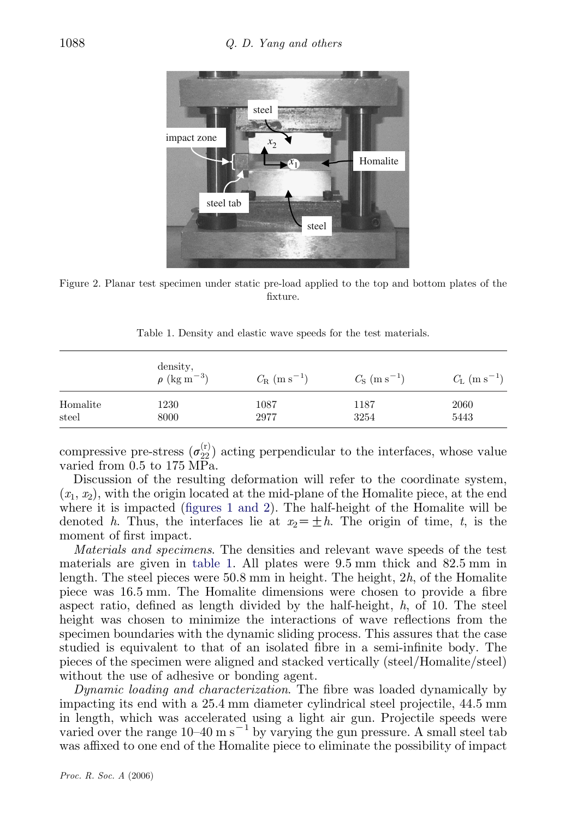<span id="page-7-0"></span>

Figure 2. Planar test specimen under static pre-load applied to the top and bottom plates of the fixture.

|  |  |  |  | Table 1. Density and elastic wave speeds for the test materials. |
|--|--|--|--|------------------------------------------------------------------|
|  |  |  |  |                                                                  |

|          | density,<br>$\rho$ (kg m <sup>-3</sup> ) | $C_{\rm R}$ (m s <sup>-1</sup> ) | $C_{\rm S}$ (m s <sup>-1</sup> ) | $C_{\rm L}$ (m s <sup>-1</sup> ) |
|----------|------------------------------------------|----------------------------------|----------------------------------|----------------------------------|
| Homalite | 1230                                     | 1087                             | 1187                             | 2060                             |
| steel    | 8000                                     | 2977                             | 3254                             | 5443                             |

compressive pre-stress  $(\sigma_{22}^{(r)})$  acting perpendicular to the interfaces, whose value varied from 0.5 to 175 MPa.

Discussion of the resulting deformation will refer to the coordinate system,  $(x_1, x_2)$ , with the origin located at the mid-plane of the Homalite piece, at the end where it is impacted [\(figures 1 and 2\)](#page-1-0). The half-height of the Homalite will be denoted h. Thus, the interfaces lie at  $x_2 = \pm h$ . The origin of time, t, is the moment of first impact.

Materials and specimens. The densities and relevant wave speeds of the test materials are given in table 1. All plates were 9.5 mm thick and 82.5 mm in length. The steel pieces were  $50.8 \text{ mm}$  in height. The height,  $2h$ , of the Homalite piece was 16.5 mm. The Homalite dimensions were chosen to provide a fibre aspect ratio, defined as length divided by the half-height,  $h$ , of 10. The steel height was chosen to minimize the interactions of wave reflections from the specimen boundaries with the dynamic sliding process. This assures that the case studied is equivalent to that of an isolated fibre in a semi-infinite body. The pieces of the specimen were aligned and stacked vertically (steel/Homalite/steel) without the use of adhesive or bonding agent.

Dynamic loading and characterization. The fibre was loaded dynamically by impacting its end with a 25.4 mm diameter cylindrical steel projectile, 44.5 mm in length, which was accelerated using a light air gun. Projectile speeds were varied over the range  $10-40$  m s<sup>-1</sup> by varying the gun pressure. A small steel tab was affixed to one end of the Homalite piece to eliminate the possibility of impact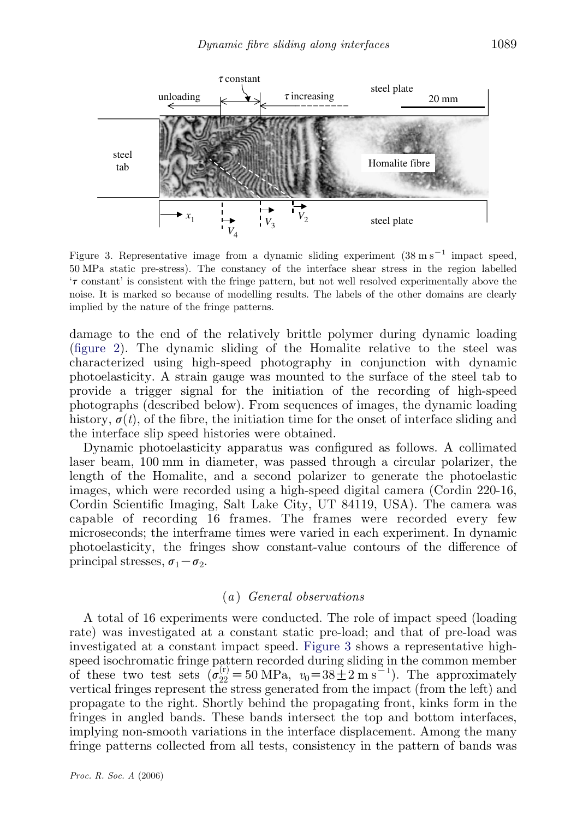<span id="page-8-0"></span>

Figure 3. Representative image from a dynamic sliding experiment  $(38 \text{ m s}^{-1}$  impact speed, 50 MPa static pre-stress). The constancy of the interface shear stress in the region labelled  $\tau$  constant' is consistent with the fringe pattern, but not well resolved experimentally above the noise. It is marked so because of modelling results. The labels of the other domains are clearly implied by the nature of the fringe patterns.

damage to the end of the relatively brittle polymer during dynamic loading [\(figure 2\)](#page-7-0). The dynamic sliding of the Homalite relative to the steel was characterized using high-speed photography in conjunction with dynamic photoelasticity. A strain gauge was mounted to the surface of the steel tab to provide a trigger signal for the initiation of the recording of high-speed photographs (described below). From sequences of images, the dynamic loading history,  $\sigma(t)$ , of the fibre, the initiation time for the onset of interface sliding and the interface slip speed histories were obtained.

Dynamic photoelasticity apparatus was configured as follows. A collimated laser beam, 100 mm in diameter, was passed through a circular polarizer, the length of the Homalite, and a second polarizer to generate the photoelastic images, which were recorded using a high-speed digital camera (Cordin 220-16, Cordin Scientific Imaging, Salt Lake City, UT 84119, USA). The camera was capable of recording 16 frames. The frames were recorded every few microseconds; the interframe times were varied in each experiment. In dynamic photoelasticity, the fringes show constant-value contours of the difference of principal stresses,  $\sigma_1-\sigma_2$ .

# (a ) General observations

A total of 16 experiments were conducted. The role of impact speed (loading rate) was investigated at a constant static pre-load; and that of pre-load was investigated at a constant impact speed. Figure 3 shows a representative highspeed isochromatic fringe pattern recorded during sliding in the common member of these two test sets  $(\sigma_{22}^{(r)} = 50 \text{ MPa}, v_0 = 38 \pm 2 \text{ m s}^{-1})$ . The approximately vertical fringes represent the stress generated from the impact (from the left) and propagate to the right. Shortly behind the propagating front, kinks form in the fringes in angled bands. These bands intersect the top and bottom interfaces, implying non-smooth variations in the interface displacement. Among the many fringe patterns collected from all tests, consistency in the pattern of bands was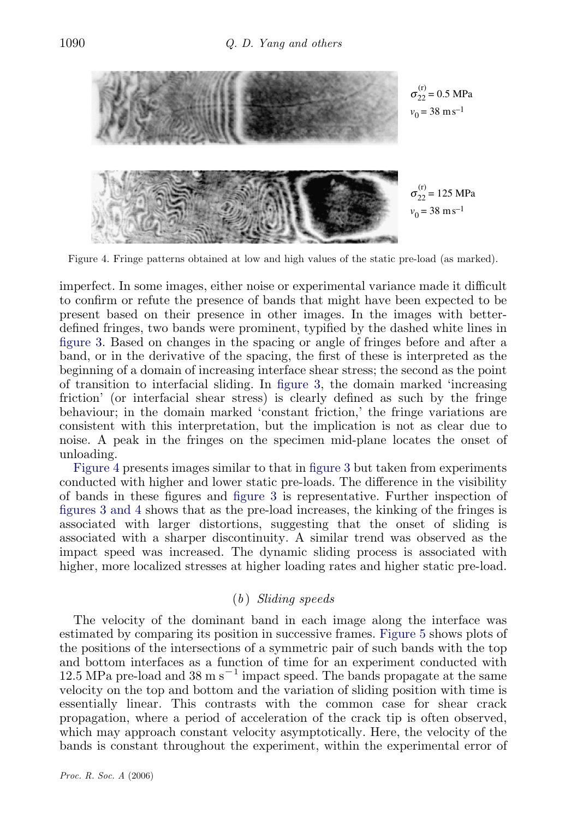<span id="page-9-0"></span>

Figure 4. Fringe patterns obtained at low and high values of the static pre-load (as marked).

imperfect. In some images, either noise or experimental variance made it difficult to confirm or refute the presence of bands that might have been expected to be present based on their presence in other images. In the images with betterdefined fringes, two bands were prominent, typified by the dashed white lines in [figure 3](#page-8-0). Based on changes in the spacing or angle of fringes before and after a band, or in the derivative of the spacing, the first of these is interpreted as the beginning of a domain of increasing interface shear stress; the second as the point of transition to interfacial sliding. In [figure 3,](#page-8-0) the domain marked 'increasing friction' (or interfacial shear stress) is clearly defined as such by the fringe behaviour; in the domain marked 'constant friction,' the fringe variations are consistent with this interpretation, but the implication is not as clear due to noise. A peak in the fringes on the specimen mid-plane locates the onset of unloading.

Figure 4 presents images similar to that in [figure 3](#page-8-0) but taken from experiments conducted with higher and lower static pre-loads. The difference in the visibility of bands in these figures and [figure 3](#page-8-0) is representative. Further inspection of [figures 3 and 4](#page-8-0) shows that as the pre-load increases, the kinking of the fringes is associated with larger distortions, suggesting that the onset of sliding is associated with a sharper discontinuity. A similar trend was observed as the impact speed was increased. The dynamic sliding process is associated with higher, more localized stresses at higher loading rates and higher static pre-load.

# $(b)$  Sliding speeds

The velocity of the dominant band in each image along the interface was estimated by comparing its position in successive frames. [Figure 5](#page-10-0) shows plots of the positions of the intersections of a symmetric pair of such bands with the top and bottom interfaces as a function of time for an experiment conducted with 12.5 MPa pre-load and  $38 \text{ m s}^{-1}$  impact speed. The bands propagate at the same velocity on the top and bottom and the variation of sliding position with time is essentially linear. This contrasts with the common case for shear crack propagation, where a period of acceleration of the crack tip is often observed, which may approach constant velocity asymptotically. Here, the velocity of the bands is constant throughout the experiment, within the experimental error of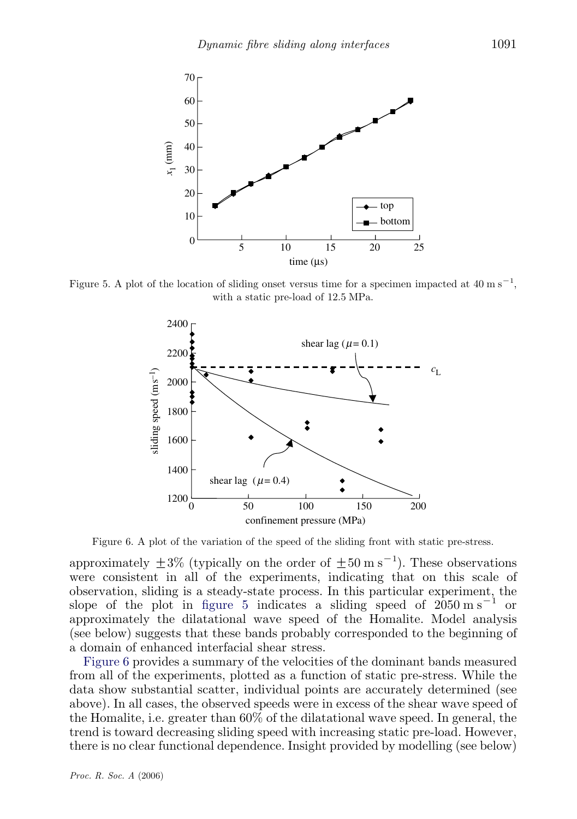<span id="page-10-0"></span>

Figure 5. A plot of the location of sliding onset versus time for a specimen impacted at  $40 \text{ m s}^{-1}$ , with a static pre-load of 12.5 MPa.



Figure 6. A plot of the variation of the speed of the sliding front with static pre-stress.

approximately  $\pm 3\%$  (typically on the order of  $\pm 50$  m s<sup>-1</sup>). These observations were consistent in all of the experiments, indicating that on this scale of observation, sliding is a steady-state process. In this particular experiment, the slope of the plot in figure 5 indicates a sliding speed of  $2050 \text{ m s}^{-1}$  or approximately the dilatational wave speed of the Homalite. Model analysis (see below) suggests that these bands probably corresponded to the beginning of a domain of enhanced interfacial shear stress.

Figure 6 provides a summary of the velocities of the dominant bands measured from all of the experiments, plotted as a function of static pre-stress. While the data show substantial scatter, individual points are accurately determined (see above). In all cases, the observed speeds were in excess of the shear wave speed of the Homalite, i.e. greater than 60% of the dilatational wave speed. In general, the trend is toward decreasing sliding speed with increasing static pre-load. However, there is no clear functional dependence. Insight provided by modelling (see below)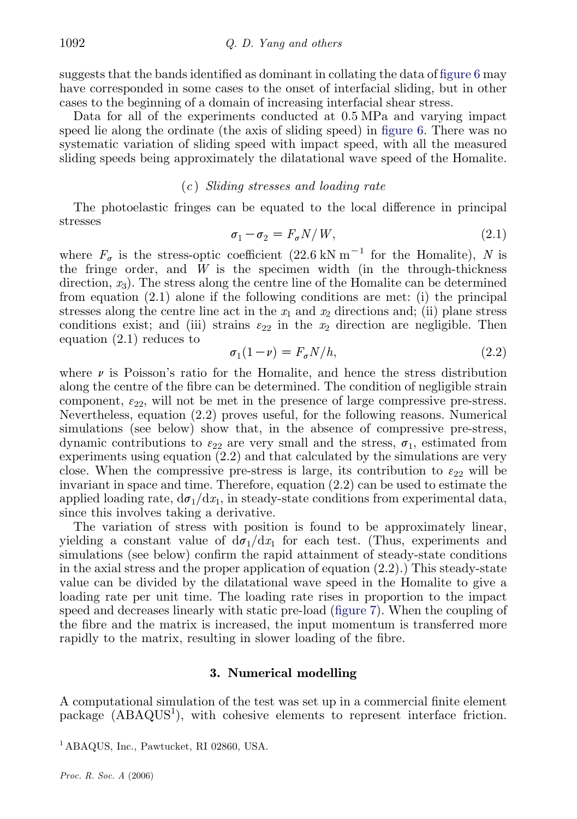suggests that the bands identified as dominant in collating the data of [figure 6](#page-10-0) may have corresponded in some cases to the onset of interfacial sliding, but in other cases to the beginning of a domain of increasing interfacial shear stress.

Data for all of the experiments conducted at 0.5 MPa and varying impact speed lie along the ordinate (the axis of sliding speed) in [figure 6](#page-10-0). There was no systematic variation of sliding speed with impact speed, with all the measured sliding speeds being approximately the dilatational wave speed of the Homalite.

#### $(c)$  Sliding stresses and loading rate

The photoelastic fringes can be equated to the local difference in principal stresses

$$
\sigma_1 - \sigma_2 = F_{\sigma} N / W, \qquad (2.1)
$$

where  $F_{\sigma}$  is the stress-optic coefficient (22.6 kN m<sup>-1</sup> for the Homalite), N is the fringe order, and  $W$  is the specimen width (in the through-thickness direction,  $x_3$ ). The stress along the centre line of the Homalite can be determined from equation (2.1) alone if the following conditions are met: (i) the principal stresses along the centre line act in the  $x_1$  and  $x_2$  directions and; (ii) plane stress conditions exist; and (iii) strains  $\varepsilon_{22}$  in the  $x_2$  direction are negligible. Then equation (2.1) reduces to

$$
\sigma_1(1-\nu) = F_{\sigma} N/h,\tag{2.2}
$$

where  $\nu$  is Poisson's ratio for the Homalite, and hence the stress distribution along the centre of the fibre can be determined. The condition of negligible strain component,  $\varepsilon_{22}$ , will not be met in the presence of large compressive pre-stress. Nevertheless, equation (2.2) proves useful, for the following reasons. Numerical simulations (see below) show that, in the absence of compressive pre-stress, dynamic contributions to  $\varepsilon_{22}$  are very small and the stress,  $\sigma_1$ , estimated from experiments using equation (2.2) and that calculated by the simulations are very close. When the compressive pre-stress is large, its contribution to  $\varepsilon_{22}$  will be invariant in space and time. Therefore, equation (2.2) can be used to estimate the applied loading rate,  $d\sigma_1/dx_1$ , in steady-state conditions from experimental data, since this involves taking a derivative.

The variation of stress with position is found to be approximately linear, yielding a constant value of  $d\sigma_1/dx_1$  for each test. (Thus, experiments and simulations (see below) confirm the rapid attainment of steady-state conditions in the axial stress and the proper application of equation  $(2.2)$ .) This steady-state value can be divided by the dilatational wave speed in the Homalite to give a loading rate per unit time. The loading rate rises in proportion to the impact speed and decreases linearly with static pre-load [\(figure 7\)](#page-12-0). When the coupling of the fibre and the matrix is increased, the input momentum is transferred more rapidly to the matrix, resulting in slower loading of the fibre.

#### 3. Numerical modelling

A computational simulation of the test was set up in a commercial finite element package  $(ABAQUS<sup>1</sup>)$ , with cohesive elements to represent interface friction.

<sup>1</sup> ABAQUS, Inc., Pawtucket, RI 02860, USA.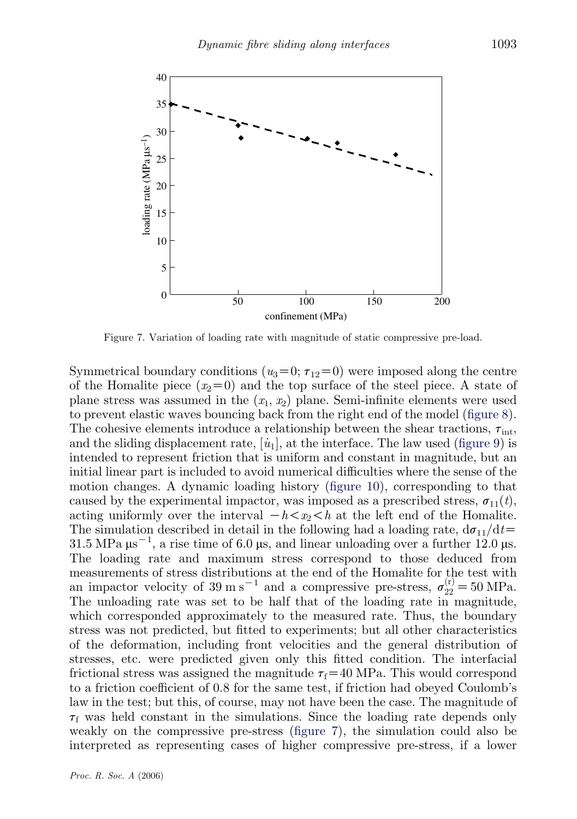<span id="page-12-0"></span>

Figure 7. Variation of loading rate with magnitude of static compressive pre-load.

Symmetrical boundary conditions ( $u_3=0; \tau_{12}=0$ ) were imposed along the centre of the Homalite piece  $(x_2=0)$  and the top surface of the steel piece. A state of plane stress was assumed in the  $(x_1, x_2)$  plane. Semi-infinite elements were used to prevent elastic waves bouncing back from the right end of the model ([figure 8\)](#page-13-0). The cohesive elements introduce a relationship between the shear tractions,  $\tau_{\text{int}}$ , and the sliding displacement rate,  $[i_1]$ , at the interface. The law used [\(figure 9](#page-13-0)) is intended to represent friction that is uniform and constant in magnitude, but an initial linear part is included to avoid numerical difficulties where the sense of the motion changes. A dynamic loading history ([figure 10](#page-14-0)), corresponding to that caused by the experimental impactor, was imposed as a prescribed stress,  $\sigma_{11}(t)$ , acting uniformly over the interval  $-h \lt x_2 \lt h$  at the left end of the Homalite. The simulation described in detail in the following had a loading rate,  $d\sigma_{11}/dt=$ 31.5 MPa  $\mu$ s<sup>-1</sup>, a rise time of 6.0  $\mu$ s, and linear unloading over a further 12.0  $\mu$ s. The loading rate and maximum stress correspond to those deduced from measurements of stress distributions at the end of the Homalite for the test with an impactor velocity of 39 m s<sup>-1</sup> and a compressive pre-stress,  $\sigma_{22}^{(r)} = 50$  MPa. The unloading rate was set to be half that of the loading rate in magnitude, which corresponded approximately to the measured rate. Thus, the boundary stress was not predicted, but fitted to experiments; but all other characteristics of the deformation, including front velocities and the general distribution of stresses, etc. were predicted given only this fitted condition. The interfacial frictional stress was assigned the magnitude  $\tau_f$ =40 MPa. This would correspond to a friction coefficient of 0.8 for the same test, if friction had obeyed Coulomb's law in the test; but this, of course, may not have been the case. The magnitude of  $\tau_f$  was held constant in the simulations. Since the loading rate depends only weakly on the compressive pre-stress (figure 7), the simulation could also be interpreted as representing cases of higher compressive pre-stress, if a lower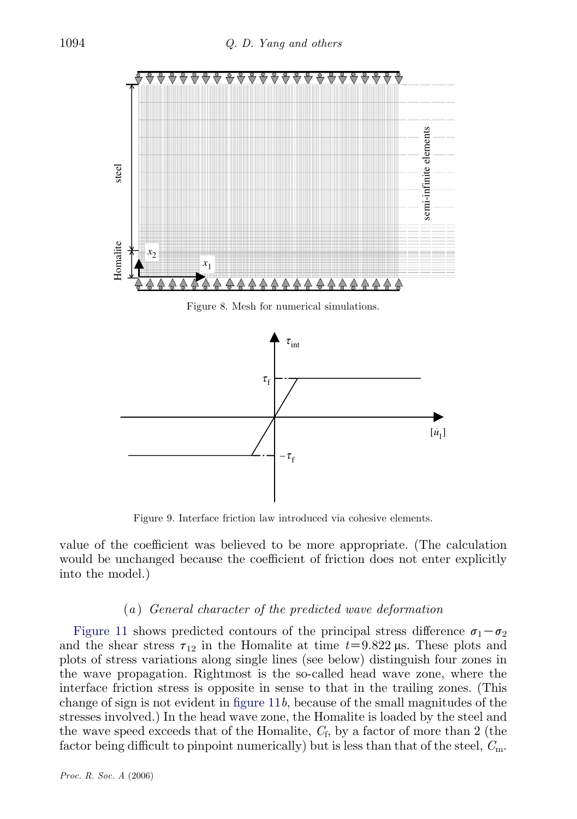<span id="page-13-0"></span>

Figure 8. Mesh for numerical simulations.



Figure 9. Interface friction law introduced via cohesive elements.

value of the coefficient was believed to be more appropriate. (The calculation would be unchanged because the coefficient of friction does not enter explicitly into the model.)

# (a ) General character of the predicted wave deformation

[Figure 11](#page-15-0) shows predicted contours of the principal stress difference  $\sigma_1-\sigma_2$ and the shear stress  $\tau_{12}$  in the Homalite at time  $t=9.822 \,\mu s$ . These plots and plots of stress variations along single lines (see below) distinguish four zones in the wave propagation. Rightmost is the so-called head wave zone, where the interface friction stress is opposite in sense to that in the trailing zones. (This change of sign is not evident in [figure 11](#page-15-0)b, because of the small magnitudes of the stresses involved.) In the head wave zone, the Homalite is loaded by the steel and the wave speed exceeds that of the Homalite,  $C_f$ , by a factor of more than 2 (the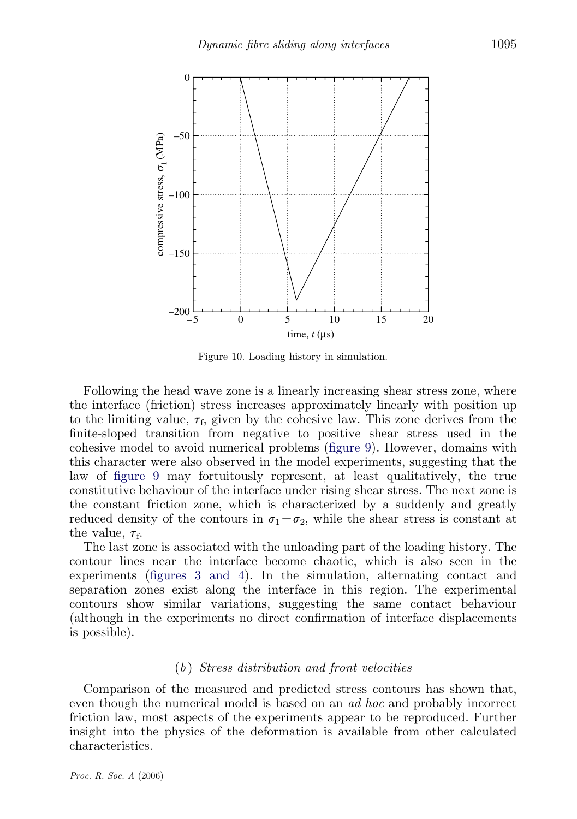<span id="page-14-0"></span>

Figure 10. Loading history in simulation.

Following the head wave zone is a linearly increasing shear stress zone, where the interface (friction) stress increases approximately linearly with position up to the limiting value,  $\tau_f$ , given by the cohesive law. This zone derives from the finite-sloped transition from negative to positive shear stress used in the cohesive model to avoid numerical problems [\(figure 9](#page-13-0)). However, domains with this character were also observed in the model experiments, suggesting that the law of [figure 9](#page-13-0) may fortuitously represent, at least qualitatively, the true constitutive behaviour of the interface under rising shear stress. The next zone is the constant friction zone, which is characterized by a suddenly and greatly reduced density of the contours in  $\sigma_1-\sigma_2$ , while the shear stress is constant at the value,  $\tau_f$ .

The last zone is associated with the unloading part of the loading history. The contour lines near the interface become chaotic, which is also seen in the experiments [\(figures 3 and 4\)](#page-8-0). In the simulation, alternating contact and separation zones exist along the interface in this region. The experimental contours show similar variations, suggesting the same contact behaviour (although in the experiments no direct confirmation of interface displacements is possible).

# $(b)$  Stress distribution and front velocities

Comparison of the measured and predicted stress contours has shown that, even though the numerical model is based on an ad hoc and probably incorrect friction law, most aspects of the experiments appear to be reproduced. Further insight into the physics of the deformation is available from other calculated characteristics.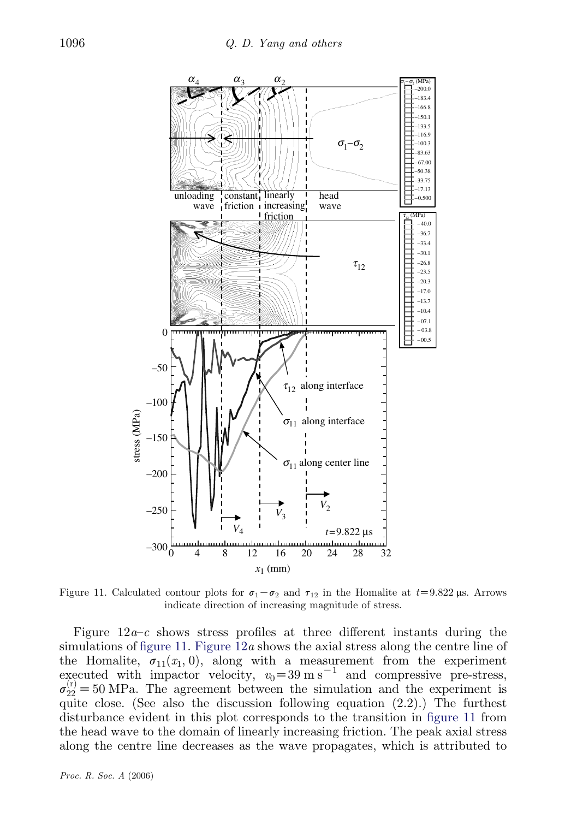<span id="page-15-0"></span>

Figure 11. Calculated contour plots for  $\sigma_1-\sigma_2$  and  $\tau_{12}$  in the Homalite at  $t=9.822 \,\mu s$ . Arrows indicate direction of increasing magnitude of stress.

Figure  $12a-c$  shows stress profiles at three different instants during the simulations of figure 11. Figure  $12a$  shows the axial stress along the centre line of the Homalite,  $\sigma_{11}(x_1, 0)$ , along with a measurement from the experiment executed with impactor velocity,  $v_0=39 \text{ m s}^{-1}$  and compressive pre-stress,  $\sigma_{22}^{(r)} = 50$  MPa. The agreement between the simulation and the experiment is quite close. (See also the discussion following equation  $(2.2)$ .) The furthest disturbance evident in this plot corresponds to the transition in figure 11 from the head wave to the domain of linearly increasing friction. The peak axial stress along the centre line decreases as the wave propagates, which is attributed to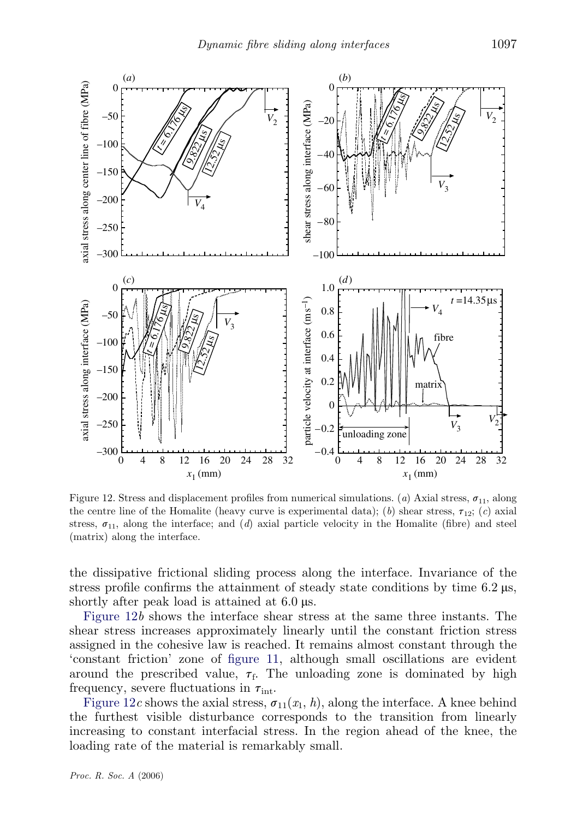<span id="page-16-0"></span>

Figure 12. Stress and displacement profiles from numerical simulations. (a) Axial stress,  $\sigma_{11}$ , along the centre line of the Homalite (heavy curve is experimental data); (b) shear stress,  $\tau_{12}$ ; (c) axial stress,  $\sigma_{11}$ , along the interface; and (d) axial particle velocity in the Homalite (fibre) and steel (matrix) along the interface.

the dissipative frictional sliding process along the interface. Invariance of the stress profile confirms the attainment of steady state conditions by time  $6.2 \,\mu s$ , shortly after peak load is attained at  $6.0 \,\mu s$ .

Figure 12b shows the interface shear stress at the same three instants. The shear stress increases approximately linearly until the constant friction stress assigned in the cohesive law is reached. It remains almost constant through the 'constant friction' zone of [figure 11,](#page-15-0) although small oscillations are evident around the prescribed value,  $\tau_f$ . The unloading zone is dominated by high frequency, severe fluctuations in  $\tau_{\text{int}}$ .

Figure 12c shows the axial stress,  $\sigma_{11}(x_1, h)$ , along the interface. A knee behind the furthest visible disturbance corresponds to the transition from linearly increasing to constant interfacial stress. In the region ahead of the knee, the loading rate of the material is remarkably small.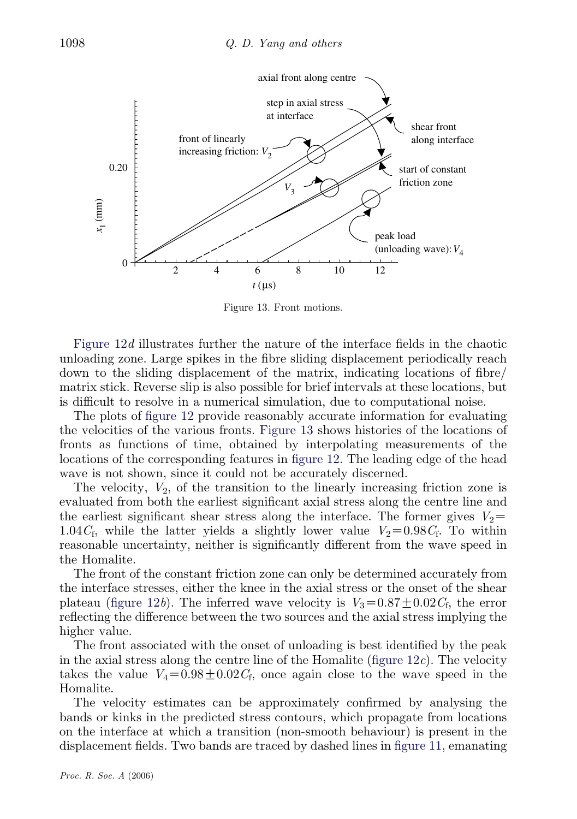

Figure 13. Front motions.

[Figure 12](#page-16-0)d illustrates further the nature of the interface fields in the chaotic unloading zone. Large spikes in the fibre sliding displacement periodically reach down to the sliding displacement of the matrix, indicating locations of fibre/ matrix stick. Reverse slip is also possible for brief intervals at these locations, but is difficult to resolve in a numerical simulation, due to computational noise.

The plots of [figure 12](#page-16-0) provide reasonably accurate information for evaluating the velocities of the various fronts. Figure 13 shows histories of the locations of fronts as functions of time, obtained by interpolating measurements of the locations of the corresponding features in [figure 12](#page-16-0). The leading edge of the head wave is not shown, since it could not be accurately discerned.

The velocity,  $V_2$ , of the transition to the linearly increasing friction zone is evaluated from both the earliest significant axial stress along the centre line and the earliest significant shear stress along the interface. The former gives  $V_2$ 1.04 $C_f$ , while the latter yields a slightly lower value  $V_2=0.98C_f$ . To within reasonable uncertainty, neither is significantly different from the wave speed in the Homalite.

The front of the constant friction zone can only be determined accurately from the interface stresses, either the knee in the axial stress or the onset of the shear plateau ([figure 12](#page-16-0)b). The inferred wave velocity is  $V_3=0.87\pm0.02C_f$ , the error reflecting the difference between the two sources and the axial stress implying the higher value.

The front associated with the onset of unloading is best identified by the peak in the axial stress along the centre line of the Homalite (figure  $12c$ ). The velocity takes the value  $V_4=0.98\pm0.02C_f$ , once again close to the wave speed in the Homalite.

The velocity estimates can be approximately confirmed by analysing the bands or kinks in the predicted stress contours, which propagate from locations on the interface at which a transition (non-smooth behaviour) is present in the displacement fields. Two bands are traced by dashed lines in [figure 11,](#page-15-0) emanating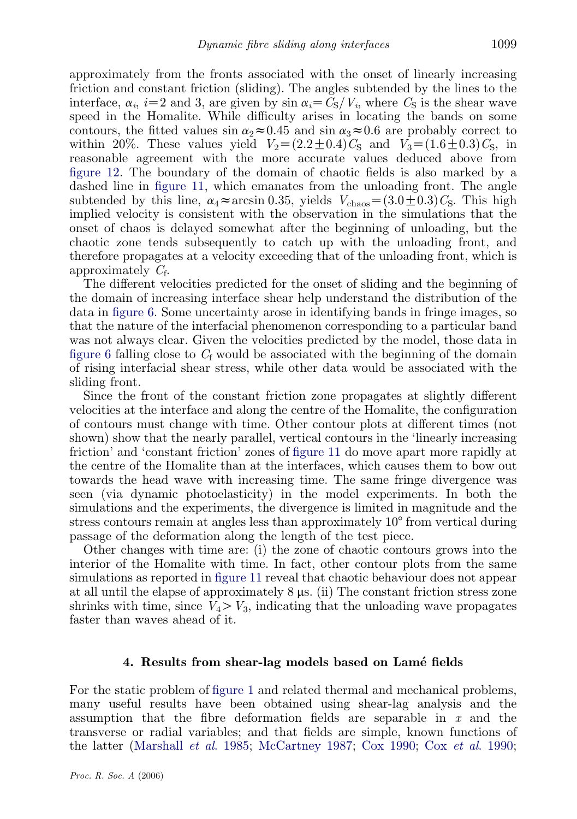approximately from the fronts associated with the onset of linearly increasing friction and constant friction (sliding). The angles subtended by the lines to the interface,  $\alpha_i$ ,  $i=2$  and 3, are given by sin  $\alpha_i = C_S/V_i$ , where  $C_S$  is the shear wave speed in the Homalite. While difficulty arises in locating the bands on some contours, the fitted values  $\sin \alpha_2 \approx 0.45$  and  $\sin \alpha_3 \approx 0.6$  are probably correct to within 20%. These values yield  $V_2=(2.2\pm0.4)C_S$  and  $V_3=(1.6\pm0.3)C_S$ , in reasonable agreement with the more accurate values deduced above from [figure 12](#page-16-0). The boundary of the domain of chaotic fields is also marked by a dashed line in [figure 11,](#page-15-0) which emanates from the unloading front. The angle subtended by this line,  $\alpha_4 \approx \arcsin 0.35$ , yields  $V_{\text{chaos}} = (3.0 \pm 0.3) C_S$ . This high implied velocity is consistent with the observation in the simulations that the onset of chaos is delayed somewhat after the beginning of unloading, but the chaotic zone tends subsequently to catch up with the unloading front, and therefore propagates at a velocity exceeding that of the unloading front, which is approximately  $C_f$ .

The different velocities predicted for the onset of sliding and the beginning of the domain of increasing interface shear help understand the distribution of the data in [figure 6.](#page-10-0) Some uncertainty arose in identifying bands in fringe images, so that the nature of the interfacial phenomenon corresponding to a particular band was not always clear. Given the velocities predicted by the model, those data in [figure 6](#page-10-0) falling close to  $C_f$  would be associated with the beginning of the domain of rising interfacial shear stress, while other data would be associated with the sliding front.

Since the front of the constant friction zone propagates at slightly different velocities at the interface and along the centre of the Homalite, the configuration of contours must change with time. Other contour plots at different times (not shown) show that the nearly parallel, vertical contours in the 'linearly increasing friction' and 'constant friction' zones of [figure 11](#page-15-0) do move apart more rapidly at the centre of the Homalite than at the interfaces, which causes them to bow out towards the head wave with increasing time. The same fringe divergence was seen (via dynamic photoelasticity) in the model experiments. In both the simulations and the experiments, the divergence is limited in magnitude and the stress contours remain at angles less than approximately 10*8* from vertical during passage of the deformation along the length of the test piece.

Other changes with time are: (i) the zone of chaotic contours grows into the interior of the Homalite with time. In fact, other contour plots from the same simulations as reported in [figure 11](#page-15-0) reveal that chaotic behaviour does not appear at all until the elapse of approximately  $8 \mu s$ . (ii) The constant friction stress zone shrinks with time, since  $V_4 > V_3$ , indicating that the unloading wave propagates faster than waves ahead of it.

#### 4. Results from shear-lag models based on Lamé fields

For the static problem of [figure 1](#page-1-0) and related thermal and mechanical problems, many useful results have been obtained using shear-lag analysis and the assumption that the fibre deformation fields are separable in x and the transverse or radial variables; and that fields are simple, known functions of the latter ([Marshall](#page-24-0) et al. 1985; [McCartney 1987](#page-24-0); [Cox 1990](#page-24-0); Cox et al[. 1990;](#page-24-0)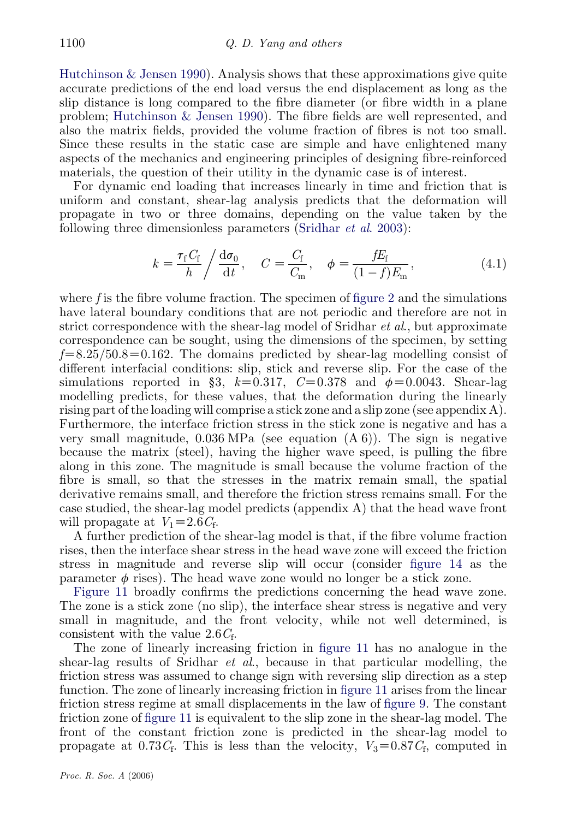[Hutchinson & Jensen 1990](#page-24-0)). Analysis shows that these approximations give quite accurate predictions of the end load versus the end displacement as long as the slip distance is long compared to the fibre diameter (or fibre width in a plane problem; [Hutchinson & Jensen 1990](#page-24-0)). The fibre fields are well represented, and also the matrix fields, provided the volume fraction of fibres is not too small. Since these results in the static case are simple and have enlightened many aspects of the mechanics and engineering principles of designing fibre-reinforced materials, the question of their utility in the dynamic case is of interest.

For dynamic end loading that increases linearly in time and friction that is uniform and constant, shear-lag analysis predicts that the deformation will propagate in two or three domains, depending on the value taken by the following three dimensionless parameters ([Sridhar](#page-25-0) *et al.* 2003):

$$
k = \frac{\tau_{\rm f} C_{\rm f}}{h} / \frac{d\sigma_0}{dt}, \quad C = \frac{C_{\rm f}}{C_{\rm m}}, \quad \phi = \frac{fE_{\rm f}}{(1-f)E_{\rm m}}, \tag{4.1}
$$

where  $f$  is the fibre volume fraction. The specimen of [figure 2](#page-7-0) and the simulations have lateral boundary conditions that are not periodic and therefore are not in strict correspondence with the shear-lag model of Sridhar *et al.*, but approximate correspondence can be sought, using the dimensions of the specimen, by setting  $f=8.25/50.8=0.162$ . The domains predicted by shear-lag modelling consist of different interfacial conditions: slip, stick and reverse slip. For the case of the simulations reported in §3,  $k=0.317$ ,  $C=0.378$  and  $\phi=0.0043$ . Shear-lag modelling predicts, for these values, that the deformation during the linearly rising part of the loading will comprise a stick zone and a slip zone (see appendix A). Furthermore, the interface friction stress in the stick zone is negative and has a very small magnitude,  $0.036 \text{ MPa}$  (see equation  $(A\ 6)$ ). The sign is negative because the matrix (steel), having the higher wave speed, is pulling the fibre along in this zone. The magnitude is small because the volume fraction of the fibre is small, so that the stresses in the matrix remain small, the spatial derivative remains small, and therefore the friction stress remains small. For the case studied, the shear-lag model predicts (appendix A) that the head wave front will propagate at  $V_1=2.6C_f$ .

A further prediction of the shear-lag model is that, if the fibre volume fraction rises, then the interface shear stress in the head wave zone will exceed the friction stress in magnitude and reverse slip will occur (consider [figure 14](#page-20-0) as the parameter  $\phi$  rises). The head wave zone would no longer be a stick zone.

[Figure 11](#page-15-0) broadly confirms the predictions concerning the head wave zone. The zone is a stick zone (no slip), the interface shear stress is negative and very small in magnitude, and the front velocity, while not well determined, is consistent with the value  $2.6C_f$ .

The zone of linearly increasing friction in [figure 11](#page-15-0) has no analogue in the shear-lag results of Sridhar et al., because in that particular modelling, the friction stress was assumed to change sign with reversing slip direction as a step function. The zone of linearly increasing friction in [figure 11](#page-15-0) arises from the linear friction stress regime at small displacements in the law of [figure 9.](#page-13-0) The constant friction zone of [figure 11](#page-15-0) is equivalent to the slip zone in the shear-lag model. The front of the constant friction zone is predicted in the shear-lag model to propagate at 0.73 $C_f$ . This is less than the velocity,  $V_3=0.87C_f$ , computed in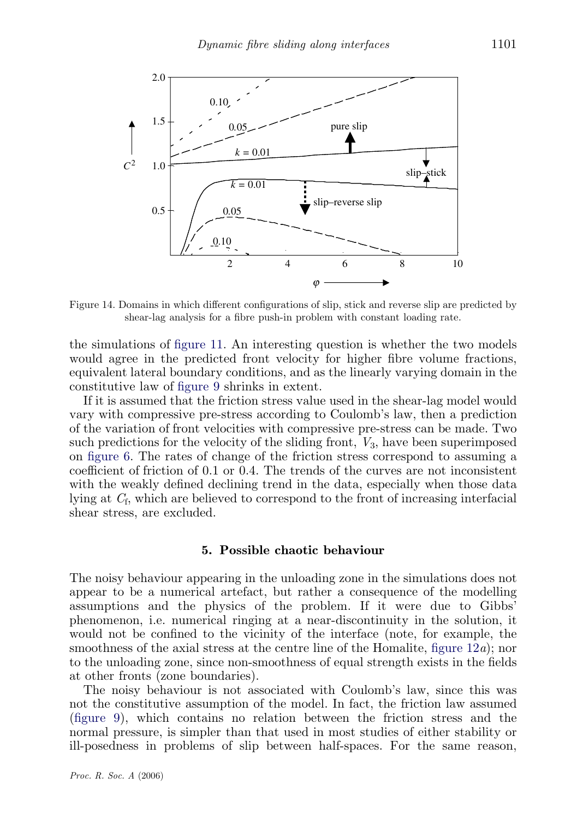<span id="page-20-0"></span>

Figure 14. Domains in which different configurations of slip, stick and reverse slip are predicted by shear-lag analysis for a fibre push-in problem with constant loading rate.

the simulations of [figure 11.](#page-15-0) An interesting question is whether the two models would agree in the predicted front velocity for higher fibre volume fractions, equivalent lateral boundary conditions, and as the linearly varying domain in the constitutive law of [figure 9](#page-13-0) shrinks in extent.

If it is assumed that the friction stress value used in the shear-lag model would vary with compressive pre-stress according to Coulomb's law, then a prediction of the variation of front velocities with compressive pre-stress can be made. Two such predictions for the velocity of the sliding front,  $V_3$ , have been superimposed on [figure 6](#page-10-0). The rates of change of the friction stress correspond to assuming a coefficient of friction of 0.1 or 0.4. The trends of the curves are not inconsistent with the weakly defined declining trend in the data, especially when those data lying at  $C_f$ , which are believed to correspond to the front of increasing interfacial shear stress, are excluded.

# 5. Possible chaotic behaviour

The noisy behaviour appearing in the unloading zone in the simulations does not appear to be a numerical artefact, but rather a consequence of the modelling assumptions and the physics of the problem. If it were due to Gibbs' phenomenon, i.e. numerical ringing at a near-discontinuity in the solution, it would not be confined to the vicinity of the interface (note, for example, the smoothness of the axial stress at the centre line of the Homalite, figure  $12a$ ; nor to the unloading zone, since non-smoothness of equal strength exists in the fields at other fronts (zone boundaries).

The noisy behaviour is not associated with Coulomb's law, since this was not the constitutive assumption of the model. In fact, the friction law assumed [\(figure 9\)](#page-13-0), which contains no relation between the friction stress and the normal pressure, is simpler than that used in most studies of either stability or ill-posedness in problems of slip between half-spaces. For the same reason,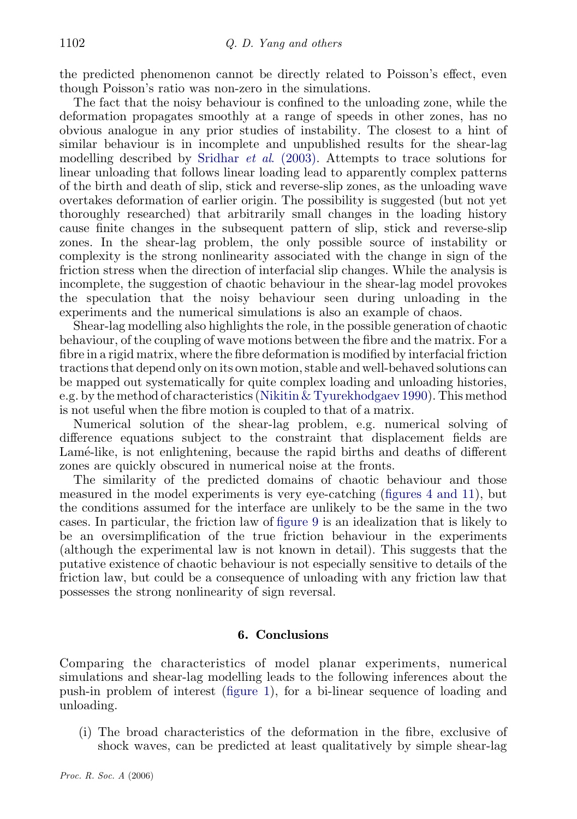the predicted phenomenon cannot be directly related to Poisson's effect, even though Poisson's ratio was non-zero in the simulations.

The fact that the noisy behaviour is confined to the unloading zone, while the deformation propagates smoothly at a range of speeds in other zones, has no obvious analogue in any prior studies of instability. The closest to a hint of similar behaviour is in incomplete and unpublished results for the shear-lag modelling described by Sridhar et al[. \(2003\)](#page-25-0). Attempts to trace solutions for linear unloading that follows linear loading lead to apparently complex patterns of the birth and death of slip, stick and reverse-slip zones, as the unloading wave overtakes deformation of earlier origin. The possibility is suggested (but not yet thoroughly researched) that arbitrarily small changes in the loading history cause finite changes in the subsequent pattern of slip, stick and reverse-slip zones. In the shear-lag problem, the only possible source of instability or complexity is the strong nonlinearity associated with the change in sign of the friction stress when the direction of interfacial slip changes. While the analysis is incomplete, the suggestion of chaotic behaviour in the shear-lag model provokes the speculation that the noisy behaviour seen during unloading in the experiments and the numerical simulations is also an example of chaos.

Shear-lag modelling also highlights the role, in the possible generation of chaotic behaviour, of the coupling of wave motions between the fibre and the matrix. For a fibre in a rigid matrix, where the fibre deformation is modified by interfacial friction tractions that depend only on its own motion, stable and well-behaved solutions can be mapped out systematically for quite complex loading and unloading histories, e.g. by the method of characteristics [\(Nikitin & Tyurekhodgaev 1990](#page-24-0)). This method is not useful when the fibre motion is coupled to that of a matrix.

Numerical solution of the shear-lag problem, e.g. numerical solving of difference equations subject to the constraint that displacement fields are Lame<sup>-</sup>like, is not enlightening, because the rapid births and deaths of different zones are quickly obscured in numerical noise at the fronts.

The similarity of the predicted domains of chaotic behaviour and those measured in the model experiments is very eye-catching [\(figures 4 and 11\)](#page-9-0), but the conditions assumed for the interface are unlikely to be the same in the two cases. In particular, the friction law of [figure 9](#page-13-0) is an idealization that is likely to be an oversimplification of the true friction behaviour in the experiments (although the experimental law is not known in detail). This suggests that the putative existence of chaotic behaviour is not especially sensitive to details of the friction law, but could be a consequence of unloading with any friction law that possesses the strong nonlinearity of sign reversal.

# 6. Conclusions

Comparing the characteristics of model planar experiments, numerical simulations and shear-lag modelling leads to the following inferences about the push-in problem of interest ([figure 1\)](#page-1-0), for a bi-linear sequence of loading and unloading.

(i) The broad characteristics of the deformation in the fibre, exclusive of shock waves, can be predicted at least qualitatively by simple shear-lag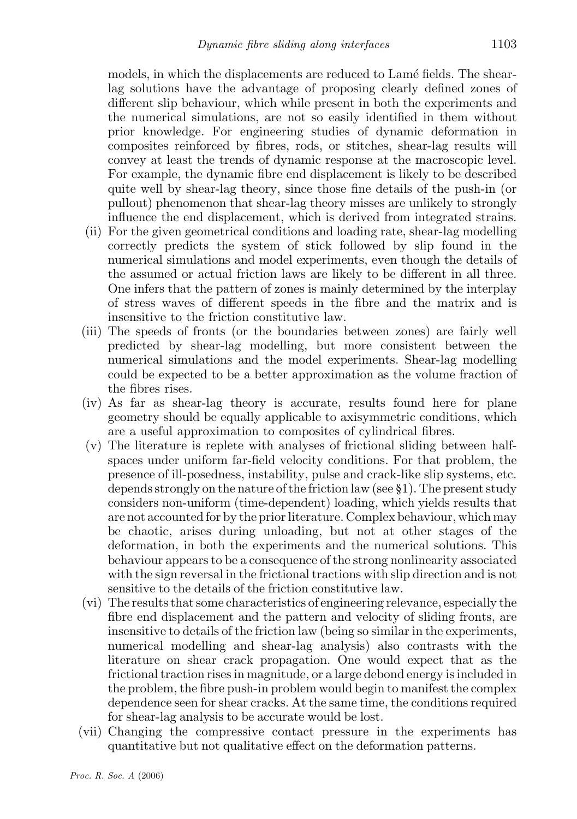models, in which the displacements are reduced to Lamé fields. The shearlag solutions have the advantage of proposing clearly defined zones of different slip behaviour, which while present in both the experiments and the numerical simulations, are not so easily identified in them without prior knowledge. For engineering studies of dynamic deformation in composites reinforced by fibres, rods, or stitches, shear-lag results will convey at least the trends of dynamic response at the macroscopic level. For example, the dynamic fibre end displacement is likely to be described quite well by shear-lag theory, since those fine details of the push-in (or pullout) phenomenon that shear-lag theory misses are unlikely to strongly influence the end displacement, which is derived from integrated strains.

- (ii) For the given geometrical conditions and loading rate, shear-lag modelling correctly predicts the system of stick followed by slip found in the numerical simulations and model experiments, even though the details of the assumed or actual friction laws are likely to be different in all three. One infers that the pattern of zones is mainly determined by the interplay of stress waves of different speeds in the fibre and the matrix and is insensitive to the friction constitutive law.
- (iii) The speeds of fronts (or the boundaries between zones) are fairly well predicted by shear-lag modelling, but more consistent between the numerical simulations and the model experiments. Shear-lag modelling could be expected to be a better approximation as the volume fraction of the fibres rises.
- (iv) As far as shear-lag theory is accurate, results found here for plane geometry should be equally applicable to axisymmetric conditions, which are a useful approximation to composites of cylindrical fibres.
- (v) The literature is replete with analyses of frictional sliding between halfspaces under uniform far-field velocity conditions. For that problem, the presence of ill-posedness, instability, pulse and crack-like slip systems, etc. depends strongly on the nature of the friction law (see §1). The present study considers non-uniform (time-dependent) loading, which yields results that are not accounted for by the prior literature. Complex behaviour, which may be chaotic, arises during unloading, but not at other stages of the deformation, in both the experiments and the numerical solutions. This behaviour appears to be a consequence of the strong nonlinearity associated with the sign reversal in the frictional tractions with slip direction and is not sensitive to the details of the friction constitutive law.
- (vi) The results that some characteristics of engineering relevance, especially the fibre end displacement and the pattern and velocity of sliding fronts, are insensitive to details of the friction law (being so similar in the experiments, numerical modelling and shear-lag analysis) also contrasts with the literature on shear crack propagation. One would expect that as the frictional traction rises in magnitude, or a large debond energy is included in the problem, the fibre push-in problem would begin to manifest the complex dependence seen for shear cracks. At the same time, the conditions required for shear-lag analysis to be accurate would be lost.
- (vii) Changing the compressive contact pressure in the experiments has quantitative but not qualitative effect on the deformation patterns.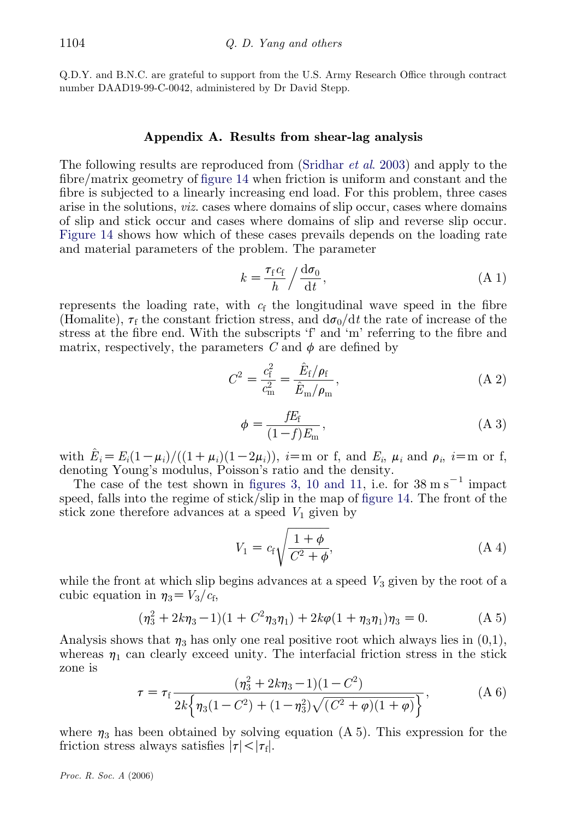Q.D.Y. and B.N.C. are grateful to support from the U.S. Army Research Office through contract number DAAD19-99-C-0042, administered by Dr David Stepp.

# Appendix A. Results from shear-lag analysis

The following results are reproduced from ([Sridhar](#page-25-0) et al. 2003) and apply to the fibre/matrix geometry of [figure 14](#page-20-0) when friction is uniform and constant and the fibre is subjected to a linearly increasing end load. For this problem, three cases arise in the solutions, viz. cases where domains of slip occur, cases where domains of slip and stick occur and cases where domains of slip and reverse slip occur. [Figure 14](#page-20-0) shows how which of these cases prevails depends on the loading rate and material parameters of the problem. The parameter

$$
k = \frac{\tau_{\rm f} c_{\rm f}}{h} / \frac{\mathrm{d}\sigma_0}{\mathrm{d}t},\tag{A.1}
$$

represents the loading rate, with  $c_f$  the longitudinal wave speed in the fibre (Homalite),  $\tau_f$  the constant friction stress, and  $d\sigma_0/dt$  the rate of increase of the stress at the fibre end. With the subscripts 'f' and 'm' referring to the fibre and matrix, respectively, the parameters C and  $\phi$  are defined by

$$
C^2 = \frac{c_{\rm f}^2}{c_{\rm m}^2} = \frac{\hat{E}_{\rm f}/\rho_{\rm f}}{\hat{E}_{\rm m}/\rho_{\rm m}},\tag{A.2}
$$

$$
\phi = \frac{fE_{\rm f}}{(1-f)E_{\rm m}},\tag{A 3}
$$

with  $\hat{E}_i=E_i(1-\mu_i)/((1+\mu_i)(1-2\mu_i)), i=m$  or f, and  $E_i$ ,  $\mu_i$  and  $\rho_i$ ,  $i=m$  or f, denoting Young's modulus, Poisson's ratio and the density.

The case of the test shown in [figures 3, 10 and 11](#page-8-0), i.e. for  $38 \text{ m s}^{-1}$  impact speed, falls into the regime of stick/slip in the map of [figure 14](#page-20-0). The front of the stick zone therefore advances at a speed  $V_1$  given by

$$
V_1 = c_f \sqrt{\frac{1+\phi}{C^2+\phi}},\tag{A.4}
$$

while the front at which slip begins advances at a speed  $V_3$  given by the root of a cubic equation in  $\eta_3=V_3/c_f$ ,

$$
(\eta_3^2 + 2k\eta_3 - 1)(1 + C^2\eta_3\eta_1) + 2k\varphi(1 + \eta_3\eta_1)\eta_3 = 0.
$$
 (A 5)

Analysis shows that  $\eta_3$  has only one real positive root which always lies in (0,1), whereas  $\eta_1$  can clearly exceed unity. The interfacial friction stress in the stick zone is

$$
\tau = \tau_{\rm f} \frac{(\eta_3^2 + 2k\eta_3 - 1)(1 - C^2)}{2k \left\{ \eta_3 (1 - C^2) + (1 - \eta_3^2) \sqrt{(C^2 + \varphi)(1 + \varphi)} \right\}},\tag{A 6}
$$

where  $\eta_3$  has been obtained by solving equation (A 5). This expression for the friction stress always satisfies  $|\tau| < |\tau_f|$ .

Proc. R. Soc. A (2006)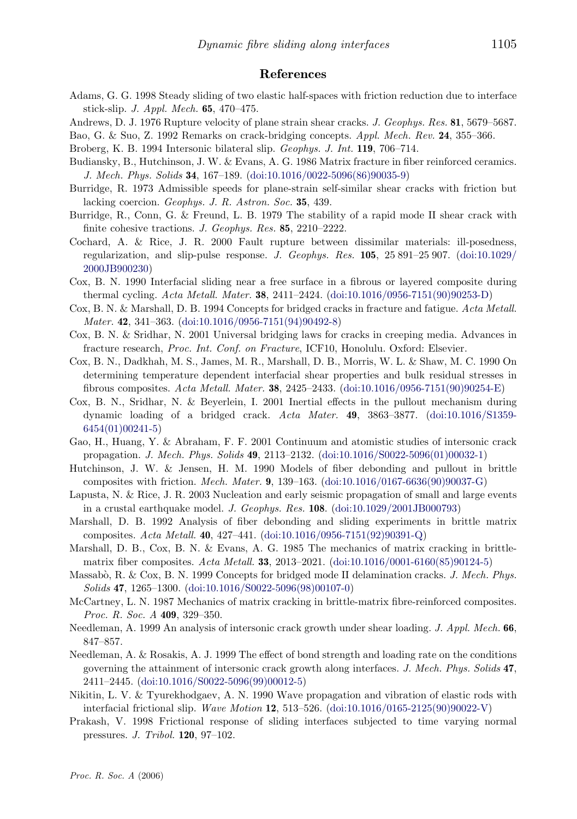## References

- <span id="page-24-0"></span>Adams, G. G. 1998 Steady sliding of two elastic half-spaces with friction reduction due to interface stick-slip. J. Appl. Mech. 65, 470–475.
- Andrews, D. J. 1976 Rupture velocity of plane strain shear cracks. J. Geophys. Res. 81, 5679–5687.
- Bao, G. & Suo, Z. 1992 Remarks on crack-bridging concepts. Appl. Mech. Rev. 24, 355–366.

Broberg, K. B. 1994 Intersonic bilateral slip. Geophys. J. Int. 119, 706–714.

- Budiansky, B., Hutchinson, J. W. & Evans, A. G. 1986 Matrix fracture in fiber reinforced ceramics. J. Mech. Phys. Solids 34, 167–189. ([doi:10.1016/0022-5096\(86\)90035-9\)](http://dx.doi.org/doi:10.1016/0022-5096(86)90035-9)
- Burridge, R. 1973 Admissible speeds for plane-strain self-similar shear cracks with friction but lacking coercion. Geophys. J. R. Astron. Soc. 35, 439.
- Burridge, R., Conn, G. & Freund, L. B. 1979 The stability of a rapid mode II shear crack with finite cohesive tractions. J. Geophys. Res. 85, 2210–2222.
- Cochard, A. & Rice, J. R. 2000 Fault rupture between dissimilar materials: ill-posedness, regularization, and slip-pulse response. J. Geophys. Res.  $105$ ,  $25891-25907$ . [\(doi:10.1029/](http://dx.doi.org/doi:10.1029/2000JB900230) [2000JB900230\)](http://dx.doi.org/doi:10.1029/2000JB900230)
- Cox, B. N. 1990 Interfacial sliding near a free surface in a fibrous or layered composite during thermal cycling. Acta Metall. Mater. 38, 2411–2424. ([doi:10.1016/0956-7151\(90\)90253-D\)](http://dx.doi.org/doi:10.1016/0956-7151(90)90253-D)
- Cox, B. N. & Marshall, D. B. 1994 Concepts for bridged cracks in fracture and fatigue. Acta Metall. Mater. 42, 341–363. ([doi:10.1016/0956-7151\(94\)90492-8\)](http://dx.doi.org/doi:10.1016/0956-7151(94)90492-8)
- Cox, B. N. & Sridhar, N. 2001 Universal bridging laws for cracks in creeping media. Advances in fracture research, Proc. Int. Conf. on Fracture, ICF10, Honolulu. Oxford: Elsevier.
- Cox, B. N., Dadkhah, M. S., James, M. R., Marshall, D. B., Morris, W. L. & Shaw, M. C. 1990 On determining temperature dependent interfacial shear properties and bulk residual stresses in fibrous composites. Acta Metall. Mater. 38, 2425–2433. ([doi:10.1016/0956-7151\(90\)90254-E](http://dx.doi.org/doi:10.1016/0956-7151(90)90254-E))
- Cox, B. N., Sridhar, N. & Beyerlein, I. 2001 Inertial effects in the pullout mechanism during dynamic loading of a bridged crack. Acta Mater. 49, 3863–3877. ([doi:10.1016/S1359-](http://dx.doi.org/doi:10.1016/S1359-6454(01)00241-5) [6454\(01\)00241-5\)](http://dx.doi.org/doi:10.1016/S1359-6454(01)00241-5)
- Gao, H., Huang, Y. & Abraham, F. F. 2001 Continuum and atomistic studies of intersonic crack propagation. J. Mech. Phys. Solids 49, 2113–2132. [\(doi:10.1016/S0022-5096\(01\)00032-1](http://dx.doi.org/doi:10.1016/S0022-5096(01)00032-1))
- Hutchinson, J. W. & Jensen, H. M. 1990 Models of fiber debonding and pullout in brittle composites with friction. Mech. Mater. 9, 139–163. ([doi:10.1016/0167-6636\(90\)90037-G](http://dx.doi.org/doi:10.1016/0167-6636(90)90037-G))
- Lapusta, N. & Rice, J. R. 2003 Nucleation and early seismic propagation of small and large events in a crustal earthquake model. J. Geophys. Res. 108. ([doi:10.1029/2001JB000793\)](http://dx.doi.org/doi:10.1029/2001JB000793)
- Marshall, D. B. 1992 Analysis of fiber debonding and sliding experiments in brittle matrix composites. Acta Metall. 40, 427–441. ([doi:10.1016/0956-7151\(92\)90391-Q](http://dx.doi.org/doi:10.1016/0956-7151(92)90391-Q))
- Marshall, D. B., Cox, B. N. & Evans, A. G. 1985 The mechanics of matrix cracking in brittlematrix fiber composites. Acta Metall. 33, 2013–2021. ([doi:10.1016/0001-6160\(85\)90124-5\)](http://dx.doi.org/doi:10.1016/0001-6160(85)90124-5)
- Massabò, R. & Cox, B. N. 1999 Concepts for bridged mode II delamination cracks. J. Mech. Phys. Solids 47, 1265–1300. [\(doi:10.1016/S0022-5096\(98\)00107-0](http://dx.doi.org/doi:10.1016/S0022-5096(98)00107-0))
- McCartney, L. N. 1987 Mechanics of matrix cracking in brittle-matrix fibre-reinforced composites. Proc. R. Soc. A 409, 329-350.
- Needleman, A. 1999 An analysis of intersonic crack growth under shear loading. J. Appl. Mech. 66, 847–857.
- Needleman, A. & Rosakis, A. J. 1999 The effect of bond strength and loading rate on the conditions governing the attainment of intersonic crack growth along interfaces. J. Mech. Phys. Solids 47, 2411–2445. ([doi:10.1016/S0022-5096\(99\)00012-5\)](http://dx.doi.org/doi:10.1016/S0022-5096(99)00012-5)
- Nikitin, L. V. & Tyurekhodgaev, A. N. 1990 Wave propagation and vibration of elastic rods with interfacial frictional slip. Wave Motion 12, 513–526. [\(doi:10.1016/0165-2125\(90\)90022-V](http://dx.doi.org/doi:10.1016/0165-2125(90)90022-V))
- Prakash, V. 1998 Frictional response of sliding interfaces subjected to time varying normal pressures. J. Tribol. 120, 97–102.